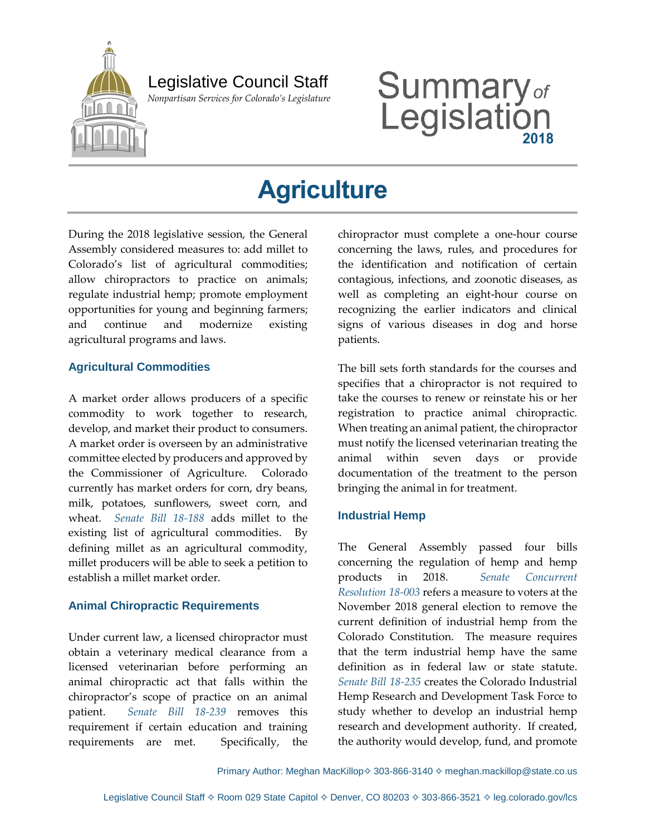

## Legislative Council Staff

 *Nonpartisan Services for Colorado's Legislature*

# Summary<sub>of</sub><br>Legislation

# **Agriculture**

During the 2018 legislative session, the General Assembly considered measures to: add millet to Colorado's list of agricultural commodities; allow chiropractors to practice on animals; regulate industrial hemp; promote employment opportunities for young and beginning farmers; and continue and modernize existing agricultural programs and laws.

#### **Agricultural Commodities**

A market order allows producers of a specific commodity to work together to research, develop, and market their product to consumers. A market order is overseen by an administrative committee elected by producers and approved by the Commissioner of Agriculture. Colorado currently has market orders for corn, dry beans, milk, potatoes, sunflowers, sweet corn, and wheat. *[Senate Bill](https://leg.colorado.gov/bills/sb18-188) 18-188* adds millet to the existing list of agricultural commodities. By defining millet as an agricultural commodity, millet producers will be able to seek a petition to establish a millet market order.

#### **Animal Chiropractic Requirements**

Under current law, a licensed chiropractor must obtain a veterinary medical clearance from a licensed veterinarian before performing an animal chiropractic act that falls within the chiropractor's scope of practice on an animal patient. *[Senate Bill 18-239](https://leg.colorado.gov/bills/sb18-239)* removes this requirement if certain education and training requirements are met. Specifically, the chiropractor must complete a one-hour course concerning the laws, rules, and procedures for the identification and notification of certain contagious, infections, and zoonotic diseases, as well as completing an eight-hour course on recognizing the earlier indicators and clinical signs of various diseases in dog and horse patients.

The bill sets forth standards for the courses and specifies that a chiropractor is not required to take the courses to renew or reinstate his or her registration to practice animal chiropractic. When treating an animal patient, the chiropractor must notify the licensed veterinarian treating the animal within seven days or provide documentation of the treatment to the person bringing the animal in for treatment.

#### **Industrial Hemp**

The General Assembly passed four bills concerning the regulation of hemp and hemp products in 2018. *[Senate Concurrent](https://leg.colorado.gov/bills/scr18-003)  [Resolution](https://leg.colorado.gov/bills/scr18-003) 18-003* refers a measure to voters at the November 2018 general election to remove the current definition of industrial hemp from the Colorado Constitution. The measure requires that the term industrial hemp have the same definition as in federal law or state statute. *Senate [Bill 18-235](https://leg.colorado.gov/bills/sb18-235)* creates the Colorado Industrial Hemp Research and Development Task Force to study whether to develop an industrial hemp research and development authority. If created, the authority would develop, fund, and promote